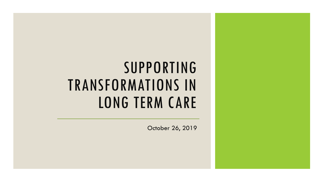# SUPPORTING TRANSFORMATIONS IN LONG TERM CARE

October 26, 2019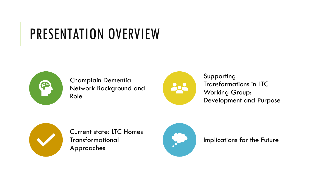# PRESENTATION OVERVIEW



Champlain Dementia Network Background and Role



Supporting Transformations in LTC Working Group: Development and Purpose



Current state: LTC Homes Transformational Approaches



Implications for the Future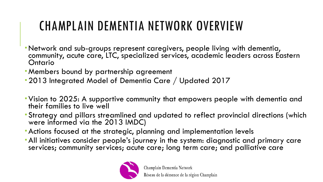### CHAMPLAIN DEMENTIA NETWORK OVERVIEW

- Network and sub-groups represent caregivers, people living with dementia, community, acute care, LTC, specialized services, academic leaders across Eastern Ontario
- Members bound by partnership agreement
- 2013 Integrated Model of Dementia Care / Updated 2017
- Vision to 2025: A supportive community that empowers people with dementia and their families to live well
- Strategy and pillars streamlined and updated to reflect provincial directions (which were informed via the 2013 IMDC)
- Actions focused at the strategic, planning and implementation levels
- All initiatives consider people's journey in the system: diagnostic and primary care services; community services; acute care; long term care; and palliative care

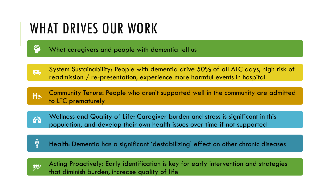### WHAT DRIVES OUR WORK

| What caregivers and people with dementia tell us | 多 |  |  |  |  |  |
|--------------------------------------------------|---|--|--|--|--|--|
|--------------------------------------------------|---|--|--|--|--|--|

- System Sustainability: People with dementia drive 50% of all ALC days, high risk of 縣 readmission / re-presentation, experience more harmful events in hospital
- Community Tenure: People who aren't supported well in the community are admitted **And** to LTC prematurely

Wellness and Quality of Life: Caregiver burden and stress is significant in this GO population, and develop their own health issues over time if not supported

Å Health: Dementia has a significant 'destabilizing' effect on other chronic diseases



Acting Proactively: Early identification is key for early intervention and strategies that diminish burden, increase quality of life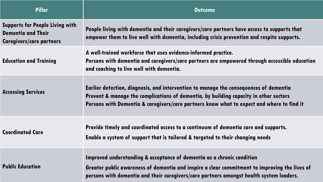| Pillar                                                                                          | <b>Outcome</b>                                                                                                                                                                                                                                                              |  |  |  |
|-------------------------------------------------------------------------------------------------|-----------------------------------------------------------------------------------------------------------------------------------------------------------------------------------------------------------------------------------------------------------------------------|--|--|--|
| <b>Supports for People Living with</b><br><b>Dementia and Their</b><br>Caregivers/care partners | People living with dementia and their caregivers/care partners have access to supports that<br>empower them to live well with dementia, including crisis prevention and respite supports.                                                                                   |  |  |  |
| <b>Education and Training</b>                                                                   | A well-trained workforce that uses evidence-informed practice.<br>Persons with dementia and caregivers/care partners are empowered through accessible education<br>and coaching to live well with dementia.                                                                 |  |  |  |
| <b>Accessing Services</b>                                                                       | Earlier detection, diagnosis, and intervention to manage the consequences of dementia<br>Prevent & manage the complications of dementia, by building capacity in other sectors<br>Persons with Dementia & caregivers/care partners know what to expect and where to find it |  |  |  |
| <b>Coordinated Care</b>                                                                         | Provide timely and coordinated access to a continuum of dementia care and supports.<br>Enable a system of support that is tailored & targeted to their changing needs                                                                                                       |  |  |  |
| <b>Public Education</b>                                                                         | Improved understanding & acceptance of dementia as a chronic condition<br>Greater public awareness of dementia and inspire a clear commitment to improving the lives of<br>persons with dementia and their caregivers/care partners amongst health system leaders.          |  |  |  |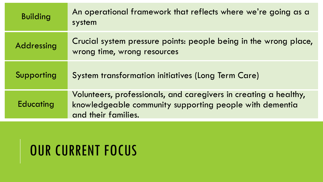| <b>Building</b> | An operational framework that reflects where we're going as a<br>system                                                                            |
|-----------------|----------------------------------------------------------------------------------------------------------------------------------------------------|
| Addressing      | Crucial system pressure points: people being in the wrong place,<br>wrong time, wrong resources                                                    |
| Supporting      | System transformation initiatives (Long Term Care)                                                                                                 |
| Educating       | Volunteers, professionals, and caregivers in creating a healthy,<br>knowledgeable community supporting people with dementia<br>and their families. |

### OUR CURRENT FOCUS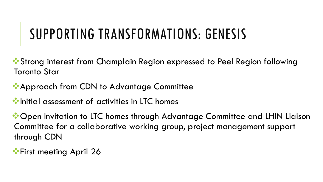# SUPPORTING TRANSFORMATIONS: GENESIS

Strong interest from Champlain Region expressed to Peel Region following Toronto Star

- Approach from CDN to Advantage Committee
- Initial assessment of activities in LTC homes

\*\* Open invitation to LTC homes through Advantage Committee and LHIN Liaison Committee for a collaborative working group, project management support through CDN

**\*** First meeting April 26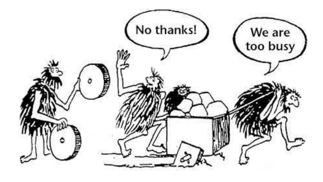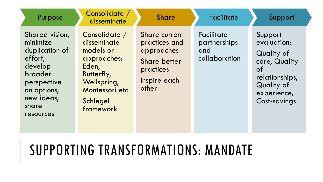| Purpose                                                                                                                                         | Consolidate /<br>disseminate                                                                                                              | <b>Share</b>                                                                                                     | <b>Facilitate</b>                                         | Support                                                                                                                                                |
|-------------------------------------------------------------------------------------------------------------------------------------------------|-------------------------------------------------------------------------------------------------------------------------------------------|------------------------------------------------------------------------------------------------------------------|-----------------------------------------------------------|--------------------------------------------------------------------------------------------------------------------------------------------------------|
| Shared vision,<br>minimize<br>duplication of<br>effort,<br>develop<br>broader<br>perspective<br>on options,<br>new ideas,<br>share<br>resources | Consolidate /<br>disseminate<br>models or<br>approaches:<br>Eden,<br>Butterfly,<br>Wellspring,<br>Montessori etc<br>Schlegel<br>framework | <b>Share current</b><br>practices and<br>approaches<br><b>Share better</b><br>practices<br>Inspire each<br>other | <b>Facilitate</b><br>partnerships<br>and<br>collaboration | Support<br>evaluation:<br><b>Quality of</b><br>care, Quality<br><b>of</b><br>relationships,<br><b>Quality of</b><br>experience,<br><b>Cost-savings</b> |

### SUPPORTING TRANSFORMATIONS: MANDATE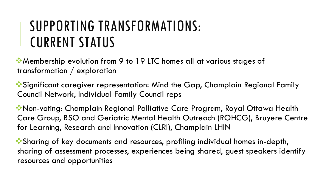### SUPPORTING TRANSFORMATIONS: CURRENT STATUS

Membership evolution from 9 to 19 LTC homes all at various stages of transformation / exploration

Significant caregiver representation: Mind the Gap, Champlain Regional Family Council Network, Individual Family Council reps

Non-voting: Champlain Regional Palliative Care Program, Royal Ottawa Health Care Group, BSO and Geriatric Mental Health Outreach (ROHCG), Bruyere Centre for Learning, Research and Innovation (CLRI), Champlain LHIN

Sharing of key documents and resources, profiling individual homes in-depth, sharing of assessment processes, experiences being shared, guest speakers identify resources and opportunities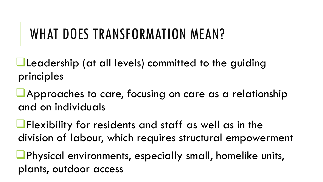### WHAT DOES TRANSFORMATION MEAN?

Leadership (at all levels) committed to the guiding principles

Approaches to care, focusing on care as a relationship and on individuals

**L** Flexibility for residents and staff as well as in the division of labour, which requires structural empowerment

Physical environments, especially small, homelike units, plants, outdoor access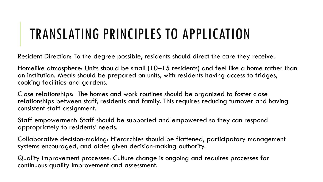# TRANSLATING PRINCIPLES TO APPLICATION

Resident Direction: To the degree possible, residents should direct the care they receive.

Homelike atmosphere: Units should be small (10–15 residents) and feel like a home rather than an institution. Meals should be prepared on units, with residents having access to fridges, cooking facilities and gardens.

Close relationships: The homes and work routines should be organized to foster close relationships between staff, residents and family. This requires reducing turnover and having consistent staff assignment.

Staff empowerment: Staff should be supported and empowered so they can respond appropriately to residents' needs.

Collaborative decision-making: Hierarchies should be flattened, participatory management systems encouraged, and aides given decision-making authority.

Quality improvement processes: Culture change is ongoing and requires processes for continuous quality improvement and assessment.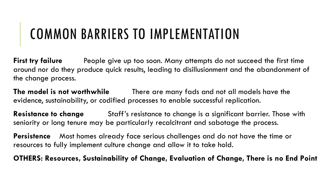# COMMON BARRIERS TO IMPLEMENTATION

**First try failure** People give up too soon. Many attempts do not succeed the first time around nor do they produce quick results, leading to disillusionment and the abandonment of the change process.

**The model is not worthwhile** There are many fads and not all models have the evidence, sustainability, or codified processes to enable successful replication.

**Resistance to change** Staff's resistance to change is a significant barrier. Those with seniority or long tenure may be particularly recalcitrant and sabotage the process.

**Persistence** Most homes already face serious challenges and do not have the time or resources to fully implement culture change and allow it to take hold.

### **OTHERS: Resources, Sustainability of Change, Evaluation of Change, There is no End Point**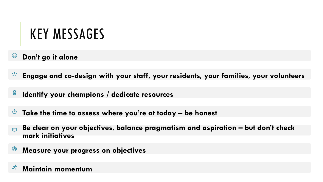### KEY MESSAGES

**Don't go it alone**

- **Engage and co-design with your staff, your residents, your families, your volunteers**
- **Identify your champions / dedicate resources**
- **Take the time to assess where you're at today – be honest**
- **Be clear on your objectives, balance pragmatism and aspiration – but don't check**  固 **mark initiatives**
- **Measure your progress on objectives**

**Maintain momentum**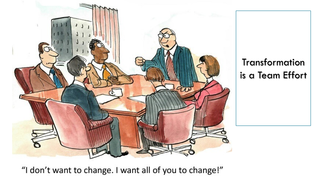

### **Transformation** is a Team Effort

"I don't want to change. I want all of you to change!"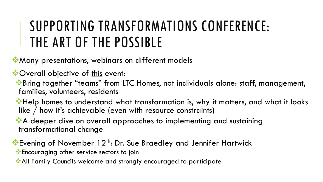### SUPPORTING TRANSFORMATIONS CONFERENCE: THE ART OF THE POSSIBLE

Many presentations, webinars on different models

- Overall objective of this event:
- Bring together "teams" from LTC Homes, not individuals alone: staff, management, families, volunteers, residents
- $\bullet$  Help homes to understand what transformation is, why it matters, and what it looks like / how it's achievable (even with resource constraints)
- A deeper dive on overall approaches to implementing and sustaining transformational change
- **Evening of November 12<sup>th</sup>: Dr. Sue Braedley and Jennifer Hartwick**
- Encouraging other service sectors to join
- All Family Councils welcome and strongly encouraged to participate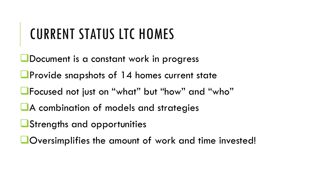### CURRENT STATUS LTC HOMES

- Document is a constant work in progress
- **L**Provide snapshots of 14 homes current state
- Focused not just on "what" but "how" and "who"
- A combination of models and strategies
- **U**Strengths and opportunities
- **L**Oversimplifies the amount of work and time invested!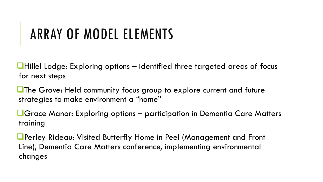### ARRAY OF MODEL ELEMENTS

Hillel Lodge: Exploring options – identified three targeted areas of focus for next steps

The Grove: Held community focus group to explore current and future strategies to make environment a "home"

Grace Manor: Exploring options – participation in Dementia Care Matters training

Perley Rideau: Visited Butterfly Home in Peel (Management and Front Line), Dementia Care Matters conference, implementing environmental changes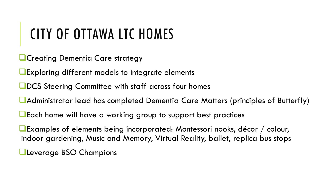# CITY OF OTTAWA LTC HOMES

- **L**Creating Dementia Care strategy
- Exploring different models to integrate elements
- **LIDCS Steering Committee with staff across four homes**
- Administrator lead has completed Dementia Care Matters (principles of Butterfly)
- Each home will have a working group to support best practices
- Examples of elements being incorporated: Montessori nooks, décor / colour, indoor gardening, Music and Memory, Virtual Reality, ballet, replica bus stops
- Lleverage BSO Champions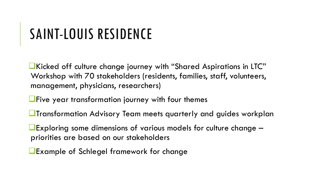# SAINT-LOUIS RESIDENCE

Kicked off culture change journey with "Shared Aspirations in LTC" Workshop with 70 stakeholders (residents, families, staff, volunteers, management, physicians, researchers)

**<u></u>**Five year transformation journey with four themes

**The Transformation Advisory Team meets quarterly and guides workplan** 

 $\blacksquare$  Exploring some dimensions of various models for culture change  $\blacksquare$ priorities are based on our stakeholders

Example of Schlegel framework for change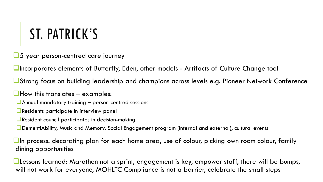# ST. PATRICK'S

**5** year person-centred care journey

Incorporates elements of Butterfly, Eden, other models - Artifacts of Culture Change tool

Strong focus on building leadership and champions across levels e.g. Pioneer Network Conference

#### $\Box$  How this translates  $-$  examples:

- Annual mandatory training person-centred sessions
- **Residents participate in interview panel**
- Resident council participates in decision-making
- DementiAbility, Music and Memory, Social Engagement program (internal and external), cultural events

 $\Box$ In process: decorating plan for each home area, use of colour, picking own room colour, family dining opportunities

Lessons learned: Marathon not a sprint, engagement is key, empower staff, there will be bumps, will not work for everyone, MOHLTC Compliance is not a barrier, celebrate the small steps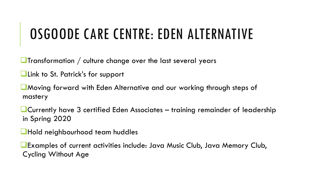## OSGOODE CARE CENTRE: EDEN ALTERNATIVE

**L**Transformation / culture change over the last several years

**Link to St. Patrick's for support** 

Moving forward with Eden Alternative and our working through steps of mastery

Currently have 3 certified Eden Associates – training remainder of leadership in Spring 2020

**Hold neighbourhood team huddles** 

Examples of current activities include: Java Music Club, Java Memory Club, Cycling Without Age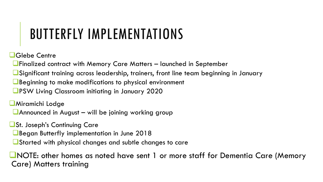# BUTTERFLY IMPLEMENTATIONS

Glebe Centre

Finalized contract with Memory Care Matters – launched in September

Significant training across leadership, trainers, front line team beginning in January

Beginning to make modifications to physical environment

PSW Living Classroom initiating in January 2020

Miramichi Lodge

**Announced in August – will be joining working group** 

St. Joseph's Continuing Care

**Began Butterfly implementation in June 2018** 

**O** Started with physical changes and subtle changes to care

NOTE: other homes as noted have sent 1 or more staff for Dementia Care (Memory Care) Matters training